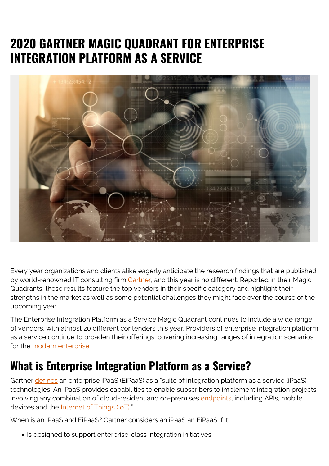# **2020 GARTNER MAGIC QUADRANT FOR ENTERPRISE INTEGRATION PLATFORM AS A SERVICE**



Every year organizations and clients alike eagerly anticipate the research findings that are published by world-renowned IT consulting firm [Gartner](https://www.gartner.com/en), and this year is no different. Reported in their Magic Quadrants, these results feature the top vendors in their specific category and highlight their strengths in the market as well as some potential challenges they might face over the course of the upcoming year.

The Enterprise Integration Platform as a Service Magic Quadrant continues to include a wide range of vendors, with almost 20 different contenders this year. Providers of enterprise integration platform as a service continue to broaden their offerings, covering increasing ranges of integration scenarios for the [modern enterprise.](https://blogs.bmc.com/corporate/autonomous-digital-enterprise.html)

# **What is Enterprise Integration Platform as a Service?**

Gartner [defines](https://www.gartner.com/en/documents/3907109) an enterprise iPaaS (EiPaaS) as a "suite of integration platform as a service (iPaaS) technologies. An iPaaS provides capabilities to enable subscribers to implement integration projects involving any combination of cloud-resident and on-premises [endpoints,](https://blogs.bmc.com/blogs/endpoints/) including APIs, mobile devices and the **Internet of Things (IoT)**"

When is an iPaaS and EiPaaS? Gartner considers an iPaaS an EiPaaS if it:

• Is designed to support enterprise-class integration initiatives.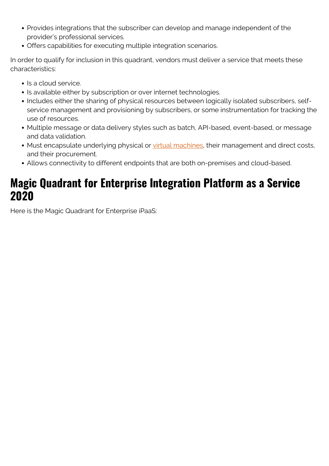- Provides integrations that the subscriber can develop and manage independent of the provider's professional services.
- Offers capabilities for executing multiple integration scenarios.

In order to qualify for inclusion in this quadrant, vendors must deliver a service that meets these characteristics:

- Is a cloud service.
- Is available either by subscription or over internet technologies.
- Includes either the sharing of physical resources between logically isolated subscribers, selfservice management and provisioning by subscribers, or some instrumentation for tracking the use of resources.
- Multiple message or data delivery styles such as batch, API-based, event-based, or message and data validation.
- Must encapsulate underlying physical or [virtual machines,](https://blogs.bmc.com/blogs/containers-vs-virtual-machines/) their management and direct costs, and their procurement.
- Allows connectivity to different endpoints that are both on-premises and cloud-based.

# **Magic Quadrant for Enterprise Integration Platform as a Service 2020**

Here is the Magic Quadrant for Enterprise iPaaS: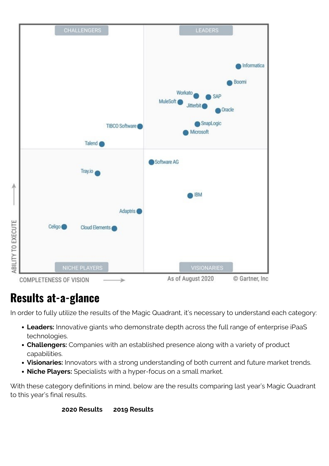

# **Results at-a-glance**

In order to fully utilize the results of the Magic Quadrant, it's necessary to understand each category:

- **Leaders:** Innovative giants who demonstrate depth across the full range of enterprise iPaaS technologies.
- **Challengers:** Companies with an established presence along with a variety of product capabilities.
- **Visionaries:** Innovators with a strong understanding of both current and future market trends.
- **Niche Players:** Specialists with a hyper-focus on a small market.

With these category definitions in mind, below are the results comparing last year's Magic Quadrant to this year's final results.

#### **2020 Results 2019 Results**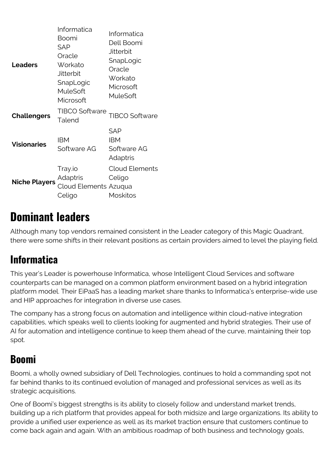| <b>Leaders</b>       | Informatica<br>Boomi<br><b>SAP</b><br>Oracle<br>Workato<br><b>Jitterbit</b><br>SnapLogic<br>MuleSoft<br>Microsoft | Informatica<br>Dell Boomi<br><b>Jitterbit</b><br>SnapLogic<br>Oracle<br>Workato<br>Microsoft<br>MuleSoft |
|----------------------|-------------------------------------------------------------------------------------------------------------------|----------------------------------------------------------------------------------------------------------|
| <b>Challengers</b>   | <b>TIBCO Software</b><br>Talend                                                                                   | <b>TIBCO Software</b>                                                                                    |
| <b>Visionaries</b>   | <b>IBM</b><br>Software AG                                                                                         | <b>SAP</b><br><b>IBM</b><br>Software AG<br>Adaptris                                                      |
| <b>Niche Players</b> | Tray.io<br>Adaptris<br>Cloud Elements Azuqua<br>Celigo                                                            | <b>Cloud Elements</b><br>Celigo<br><b>Moskitos</b>                                                       |

# **Dominant leaders**

Although many top vendors remained consistent in the Leader category of this Magic Quadrant, there were some shifts in their relevant positions as certain providers aimed to level the playing field.

### **Informatica**

This year's Leader is powerhouse Informatica, whose Intelligent Cloud Services and software counterparts can be managed on a common platform environment based on a hybrid integration platform model. Their EiPaaS has a leading market share thanks to Informatica's enterprise-wide use and HIP approaches for integration in diverse use cases.

The company has a strong focus on automation and intelligence within cloud-native integration capabilities, which speaks well to clients looking for augmented and hybrid strategies. Their use of AI for automation and intelligence continue to keep them ahead of the curve, maintaining their top spot.

### **Boomi**

Boomi, a wholly owned subsidiary of Dell Technologies, continues to hold a commanding spot not far behind thanks to its continued evolution of managed and professional services as well as its strategic acquisitions.

One of Boomi's biggest strengths is its ability to closely follow and understand market trends, building up a rich platform that provides appeal for both midsize and large organizations. Its ability to provide a unified user experience as well as its market traction ensure that customers continue to come back again and again. With an ambitious roadmap of both business and technology goals,